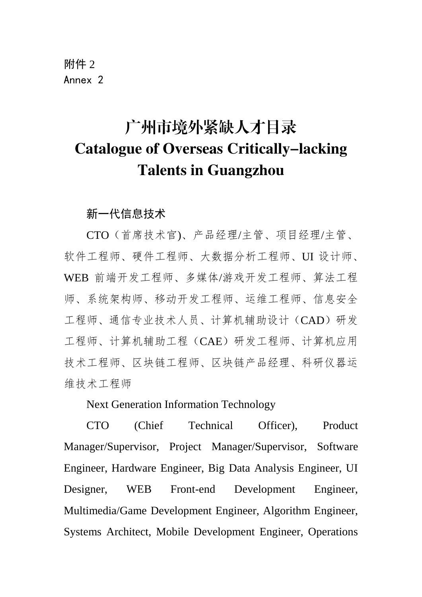附件 2 Annex 2

# 广州市境外紧缺人才目录 Catalogue of Overseas Critically-lacking Talents in Guangzhou

新一代信息技术

CTO(首席技术官)、产品经理/主管、项目经理/主管、 软件工程师、硬件工程师、大数据分析工程师、UI 设计师、 WEB 前端开发工程师、多媒体/游戏开发工程师、算法工程 师、系统架构师、移动开发工程师、运维工程师、信息安全 工程师、通信专业技术人员、计算机辅助设计(CAD)研发 工程师、计算机辅助工程(CAE)研发工程师、计算机应用 技术工程师、区块链工程师、区块链产品经理、科研仪器运 维技术工程师

Next Generation Information Technology

CTO (Chief Technical Officer), Product Manager/Supervisor, Project Manager/Supervisor, Software Engineer, Hardware Engineer, Big Data Analysis Engineer, UI Designer, WEB Front-end Development Engineer, Multimedia/Game Development Engineer, Algorithm Engineer, Systems Architect, Mobile Development Engineer, Operations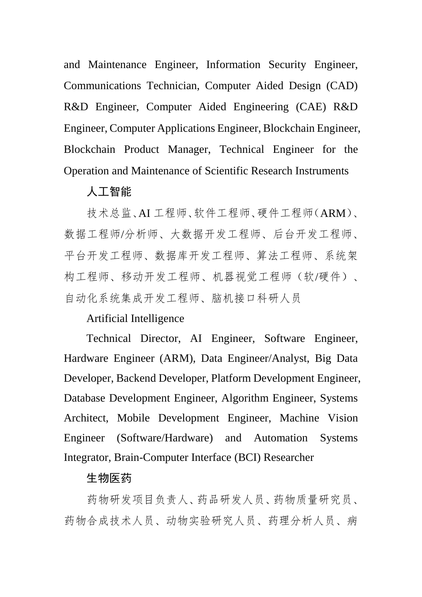and Maintenance Engineer, Information Security Engineer, Communications Technician, Computer Aided Design (CAD) R&D Engineer, Computer Aided Engineering (CAE) R&D Engineer, Computer Applications Engineer, Blockchain Engineer, Blockchain Product Manager, Technical Engineer for the Operation and Maintenance of Scientific Research Instruments

# 人工智能

技术总监、AI 工程师、软件工程师、硬件工程师(ARM)、 数据工程师/分析师、大数据开发工程师、后台开发工程师、 平台开发工程师、数据库开发工程师、算法工程师、系统架 构工程师、移动开发工程师、机器视觉工程师(软/硬件)、 自动化系统集成开发工程师、脑机接口科研人员

#### Artificial Intelligence

Technical Director, AI Engineer, Software Engineer, Hardware Engineer (ARM), Data Engineer/Analyst, Big Data Developer, Backend Developer, Platform Development Engineer, Database Development Engineer, Algorithm Engineer, Systems Architect, Mobile Development Engineer, Machine Vision Engineer (Software/Hardware) and Automation Systems Integrator, Brain-Computer Interface (BCI) Researcher

#### 生物医药

药物研发项目负责人、药品研发人员、药物质量研究员、 药物合成技术人员、动物实验研究人员、药理分析人员、病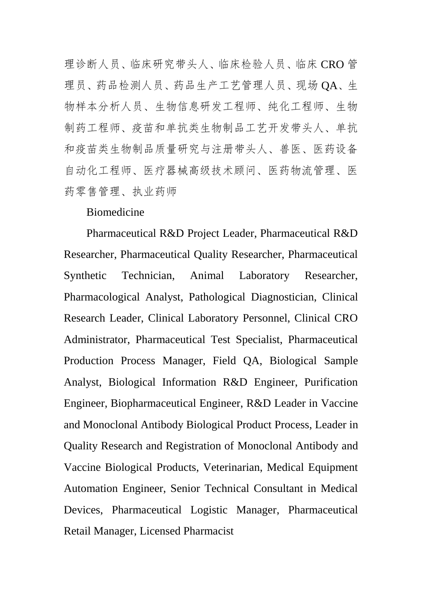理诊断人员、临床研究带头人、临床检验人员、临床 CRO 管 理员、药品检测人员、药品生产工艺管理人员、现场 QA、生 物样本分析人员、生物信息研发工程师、纯化工程师、生物 制药工程师、疫苗和单抗类生物制品工艺开发带头人、单抗 和疫苗类生物制品质量研究与注册带头人、兽医、医药设备 自动化工程师、医疗器械高级技术顾问、医药物流管理、医 药零售管理、执业药师

#### Biomedicine

Pharmaceutical R&D Project Leader, Pharmaceutical R&D Researcher, Pharmaceutical Quality Researcher, Pharmaceutical Synthetic Technician, Animal Laboratory Researcher, Pharmacological Analyst, Pathological Diagnostician, Clinical Research Leader, Clinical Laboratory Personnel, Clinical CRO Administrator, Pharmaceutical Test Specialist, Pharmaceutical Production Process Manager, Field QA, Biological Sample Analyst, Biological Information R&D Engineer, Purification Engineer, Biopharmaceutical Engineer, R&D Leader in Vaccine and Monoclonal Antibody Biological Product Process, Leader in Quality Research and Registration of Monoclonal Antibody and Vaccine Biological Products, Veterinarian, Medical Equipment Automation Engineer, Senior Technical Consultant in Medical Devices, Pharmaceutical Logistic Manager, Pharmaceutical Retail Manager, Licensed Pharmacist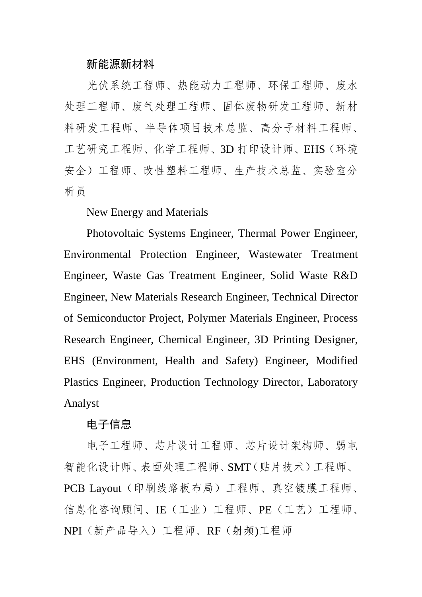# 新能源新材料

光伏系统工程师、热能动力工程师、环保工程师、废水 处理工程师、废气处理工程师、固体废物研发工程师、新材 料研发工程师、半导体项目技术总监、高分子材料工程师、 工艺研究工程师、化学工程师、3D 打印设计师、EHS(环境 安全)工程师、改性塑料工程师、生产技术总监、实验室分 析员

New Energy and Materials

Photovoltaic Systems Engineer, Thermal Power Engineer, Environmental Protection Engineer, Wastewater Treatment Engineer, Waste Gas Treatment Engineer, Solid Waste R&D Engineer, New Materials Research Engineer, Technical Director of Semiconductor Project, Polymer Materials Engineer, Process Research Engineer, Chemical Engineer, 3D Printing Designer, EHS (Environment, Health and Safety) Engineer, Modified Plastics Engineer, Production Technology Director, Laboratory Analyst

#### 电子信息

电子工程师、芯片设计工程师、芯片设计架构师、弱电 智能化设计师、表面处理工程师、SMT(贴片技术)工程师、 PCB Layout (印刷线路板布局)工程师、真空镀膜工程师、 信息化咨询顾问、IE(工业)工程师、PE(工艺)工程师、 NPI(新产品导入)工程师、RF(射频)工程师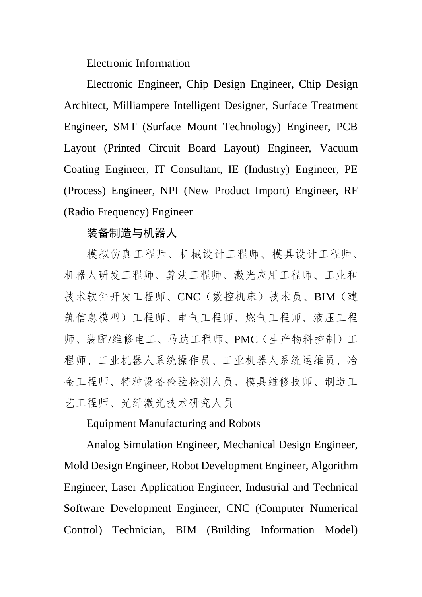Electronic Information

Electronic Engineer, Chip Design Engineer, Chip Design Architect, Milliampere Intelligent Designer, Surface Treatment Engineer, SMT (Surface Mount Technology) Engineer, PCB Layout (Printed Circuit Board Layout) Engineer, Vacuum Coating Engineer, IT Consultant, IE (Industry) Engineer, PE (Process) Engineer, NPI (New Product Import) Engineer, RF (Radio Frequency) Engineer

#### 装备制造与机器人

模拟仿真工程师、机械设计工程师、模具设计工程师、 机器人研发工程师、算法工程师、激光应用工程师、工业和 技术软件开发工程师、CNC(数控机床)技术员、BIM(建 筑信息模型)工程师、电气工程师、燃气工程师、液压工程 师、装配/维修电工、马达工程师、PMC(生产物料控制)工 程师、工业机器人系统操作员、工业机器人系统运维员、冶 金工程师、特种设备检验检测人员、模具维修技师、制造工 艺工程师、光纤激光技术研究人员

#### Equipment Manufacturing and Robots

Analog Simulation Engineer, Mechanical Design Engineer, Mold Design Engineer, Robot Development Engineer, Algorithm Engineer, Laser Application Engineer, Industrial and Technical Software Development Engineer, CNC (Computer Numerical Control) Technician, BIM (Building Information Model)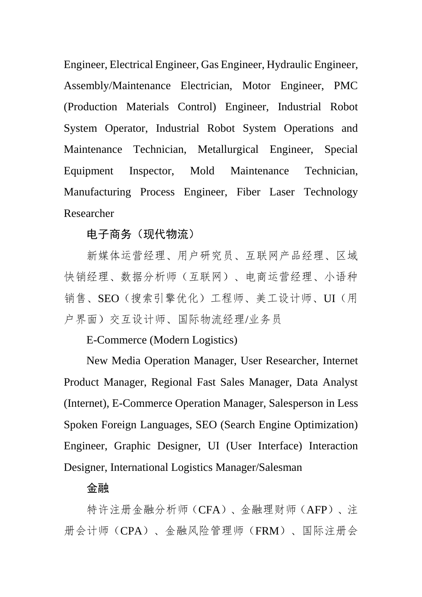Engineer, Electrical Engineer, Gas Engineer, Hydraulic Engineer, Assembly/Maintenance Electrician, Motor Engineer, PMC (Production Materials Control) Engineer, Industrial Robot System Operator, Industrial Robot System Operations and Maintenance Technician, Metallurgical Engineer, Special Equipment Inspector, Mold Maintenance Technician, Manufacturing Process Engineer, Fiber Laser Technology Researcher

# 电子商务(现代物流)

新媒体运营经理、用户研究员、互联网产品经理、区域 快销经理、数据分析师(互联网)、电商运营经理、小语种 销售、SEO(搜索引擎优化)工程师、美工设计师、UI(用 户界面)交互设计师、国际物流经理/业务员

# E-Commerce (Modern Logistics)

New Media Operation Manager, User Researcher, Internet Product Manager, Regional Fast Sales Manager, Data Analyst (Internet), E-Commerce Operation Manager, Salesperson in Less Spoken Foreign Languages, SEO (Search Engine Optimization) Engineer, Graphic Designer, UI (User Interface) Interaction Designer, International Logistics Manager/Salesman

# 金融

特许注册金融分析师(CFA)、金融理财师(AFP)、注 册会计师(CPA)、金融风险管理师(FRM)、国际注册会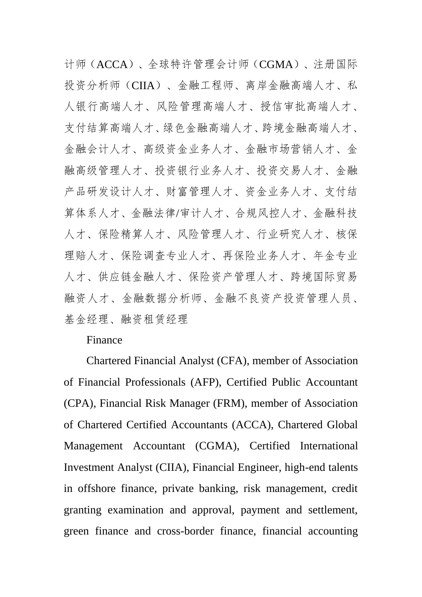计师(ACCA)、全球特许管理会计师(CGMA)、注册国际 投资分析师(CIIA)、金融工程师、离岸金融高端人才、私 人银行高端人才、风险管理高端人才、授信审批高端人才、 支付结算高端人才、绿色金融高端人才、 金融会计人才、高级资金业务人才、金融市场营销人才、金 融高级管理人才、投资银行业务人才、投资交易人才、金融 产品研发设计人才、财富管理人才、资金业务人才、支付结 算体系人才、金融法律/审计人才、合规风控人才、金融科技 人才、保险精算人才、风险管理人才、行业研究人才、核保 理赔人才、保险调查专业人才、再保险业务人才、年金专业 人才、供应链金融人才、保险资产管理人才、跨境国际贸易 融资人才、金融数据分析师、金融不良资产投资管理人员、 基金经理、融资租赁经理

# Finance

Chartered Financial Analyst (CFA), member of Association of Financial Professionals (AFP), Certified Public Accountant (CPA), Financial Risk Manager (FRM), member of Association of Chartered Certified Accountants (ACCA), Chartered Global Management Accountant (CGMA), Certified International Investment Analyst (CIIA), Financial Engineer, high-end talents in offshore finance, private banking, risk management, credit granting examination and approval, payment and settlement, green finance and cross-border finance, financial accounting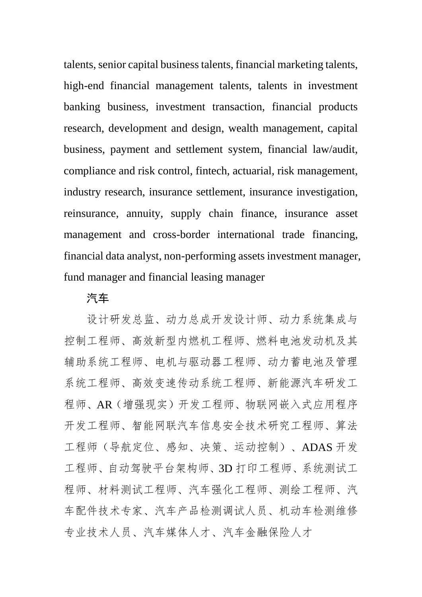talents, senior capital business talents, financial marketing talents, high-end financial management talents, talents in investment banking business, investment transaction, financial products research, development and design, wealth management, capital business, payment and settlement system, financial law/audit, compliance and risk control, fintech, actuarial, risk management, industry research, insurance settlement, insurance investigation, reinsurance, annuity, supply chain finance, insurance asset management and cross-border international trade financing, financial data analyst, non-performing assets investment manager, fund manager and financial leasing manager

#### 汽车

设计研发总监、动力总成开发设计师、动力系统集成与 控制工程师、高效新型内燃机工程师、燃料电池发动机及其 辅助系统工程师、电机与驱动器工程师、动力蓄电池及管理 系统工程师、高效变速传动系统工程师、新能源汽车研发工 程师、AR(增强现实)开发工程师、物联网嵌入式应用程序 开发工程师、智能网联汽车信息安全技术研究工程师、算法 工程师(导航定位、感知、决策、运动控制)、ADAS 开发 工程师、自动驾驶平台架构师、3D 打印工程师、系统测试工 程师、材料测试工程师、汽车强化工程师、测绘工程师、汽 车配件技术专家、汽车产品检测调试人员、机动车检测维修 专业技术人员、汽车媒体人才、汽车金融保险人才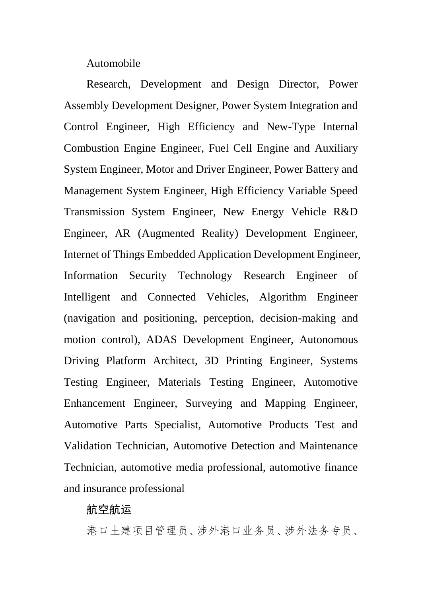Automobile

Research, Development and Design Director, Power Assembly Development Designer, Power System Integration and Control Engineer, High Efficiency and New-Type Internal Combustion Engine Engineer, Fuel Cell Engine and Auxiliary System Engineer, Motor and Driver Engineer, Power Battery and Management System Engineer, High Efficiency Variable Speed Transmission System Engineer, New Energy Vehicle R&D Engineer, AR (Augmented Reality) Development Engineer, Internet of Things Embedded Application Development Engineer, Information Security Technology Research Engineer of Intelligent and Connected Vehicles, Algorithm Engineer (navigation and positioning, perception, decision-making and motion control), ADAS Development Engineer, Autonomous Driving Platform Architect, 3D Printing Engineer, Systems Testing Engineer, Materials Testing Engineer, Automotive Enhancement Engineer, Surveying and Mapping Engineer, Automotive Parts Specialist, Automotive Products Test and Validation Technician, Automotive Detection and Maintenance Technician, automotive media professional, automotive finance and insurance professional

#### 航空航运

港口土建项目管理员、涉外港口业务员、涉外法务专员、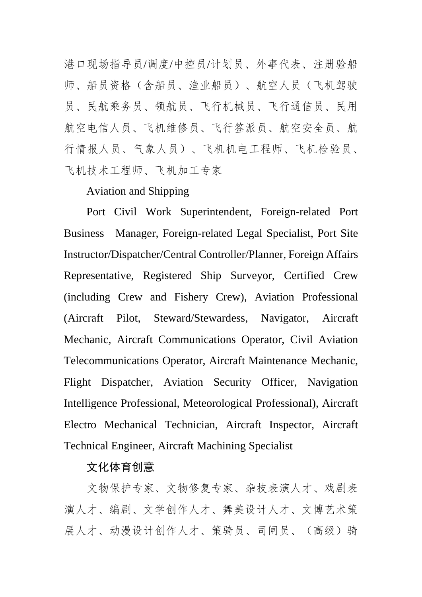港口现场指导员/调度/中控员/计划员、外事代表、注册验船 师、船员资格(含船员、渔业船员)、航空人员(飞机驾驶 员、民航乘务员、领航员、飞行机械员、飞行通信员、民用 航空电信人员、飞机维修员、飞行签派员、航空安全员、航 行情报人员、气象人员)、飞机机电工程师、飞机检验员、 飞机技术工程师、飞机加工专家

# Aviation and Shipping

Port Civil Work Superintendent, Foreign-related Port Business Manager, Foreign-related Legal Specialist, Port Site Instructor/Dispatcher/Central Controller/Planner, Foreign Affairs Representative, Registered Ship Surveyor, Certified Crew (including Crew and Fishery Crew), Aviation Professional (Aircraft Pilot, Steward/Stewardess, Navigator, Aircraft Mechanic, Aircraft Communications Operator, Civil Aviation Telecommunications Operator, Aircraft Maintenance Mechanic, Flight Dispatcher, Aviation Security Officer, Navigation Intelligence Professional, Meteorological Professional), Aircraft Electro Mechanical Technician, Aircraft Inspector, Aircraft Technical Engineer, Aircraft Machining Specialist

# 文化体育创意

文物保护专家、文物修复专家、杂技表演人才、戏剧表 演人才、编剧、文学创作人才、舞美设计人才、文博艺术策 展人才、动漫设计创作人才、策骑员、司闸员、(高级)骑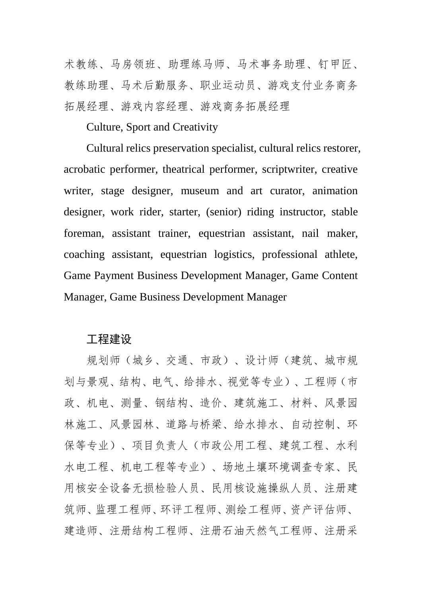术教练、马房领班、助理练马师、马术事务助理、钉甲匠、 教练助理、马术后勤服务、职业运动员、游戏支付业务商务 拓展经理、游戏内容经理、游戏商务拓展经理

Culture, Sport and Creativity

Cultural relics preservation specialist, cultural relics restorer, acrobatic performer, theatrical performer, scriptwriter, creative writer, stage designer, museum and art curator, animation designer, work rider, starter, (senior) riding instructor, stable foreman, assistant trainer, equestrian assistant, nail maker, coaching assistant, equestrian logistics, professional athlete, Game Payment Business Development Manager, Game Content Manager, Game Business Development Manager

#### 工程建设

规划师(城乡、交通、市政)、设计师(建筑、城市规 划与景观、结构、电气、给排水、视觉等专业)、工程师(市 政、机电、测量、钢结构、造价、建筑施工、材料、风景园 林施工、风景园林、道路与桥梁、给水排水、自动控制、环 保等专业)、项目负责人(市政公用工程、建筑工程、水利 水电工程、机电工程等专业)、场地土壤环境调查专家、民 用核安全设备无损检验人员、民用核设施操纵人员、注册建 筑师、监理工程师、环评工程师、测绘工程师、资产评估师、 建造师、注册结构工程师、注册石油天然气工程师、注册采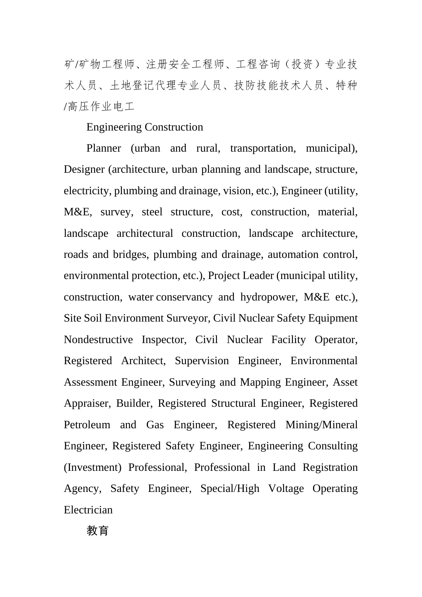矿/矿物工程师、注册安全工程师、工程咨询(投资)专业技 术人员、土地登记代理专业人员、技防技能技术人员、特种 /高压作业电工

# Engineering Construction

Planner (urban and rural, transportation, municipal), Designer (architecture, urban planning and landscape, structure, electricity, plumbing and drainage, vision, etc.), Engineer (utility, M&E, survey, steel structure, cost, construction, material, landscape architectural construction, landscape architecture, roads and bridges, plumbing and drainage, automation control, environmental protection, etc.), Project Leader (municipal utility, construction, water conservancy and hydropower, M&E etc.), Site Soil Environment Surveyor, Civil Nuclear Safety Equipment Nondestructive Inspector, Civil Nuclear Facility Operator, Registered Architect, Supervision Engineer, Environmental Assessment Engineer, Surveying and Mapping Engineer, Asset Appraiser, Builder, Registered Structural Engineer, Registered Petroleum and Gas Engineer, Registered Mining/Mineral Engineer, Registered Safety Engineer, Engineering Consulting (Investment) Professional, Professional in Land Registration Agency, Safety Engineer, Special/High Voltage Operating Electrician

教育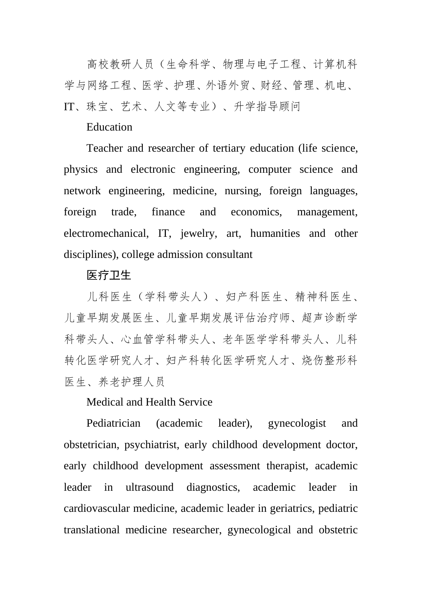高校教研人员(生命科学、物理与电子工程、计算机科 学与网络工程、医学、护理、外语外贸、财经、管理、机电、 IT、珠宝、艺术、人文等专业)、升学指导顾问

#### Education

Teacher and researcher of tertiary education (life science, physics and electronic engineering, computer science and network engineering, medicine, nursing, foreign languages, foreign trade, finance and economics, management, electromechanical, IT, jewelry, art, humanities and other disciplines), college admission consultant

#### 医疗卫生

儿科医生(学科带头人)、妇产科医生、精神科医生、 儿童早期发展医生、儿童早期发展评估治疗师、超声诊断学 科带头人、心血管学科带头人、老年医学学科带头人、儿科 转化医学研究人才、妇产科转化医学研究人才、烧伤整形科 医生、养老护理人员

Medical and Health Service

Pediatrician (academic leader), gynecologist and obstetrician, psychiatrist, early childhood development doctor, early childhood development assessment therapist, academic leader in ultrasound diagnostics, academic leader in cardiovascular medicine, academic leader in geriatrics, pediatric translational medicine researcher, gynecological and obstetric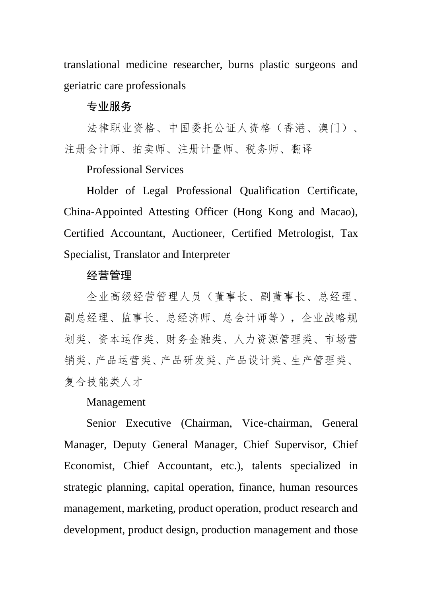translational medicine researcher, burns plastic surgeons and geriatric care professionals

#### 专业服务

法律职业资格、中国委托公证人资格(香港、澳门)、 注册会计师、拍卖师、注册计量师、税务师、翻译

# Professional Services

Holder of Legal Professional Qualification Certificate, China-Appointed Attesting Officer (Hong Kong and Macao), Certified Accountant, Auctioneer, Certified Metrologist, Tax Specialist, Translator and Interpreter

#### 经营管理

企业高级经营管理人员(董事长、副董事长、总经理、 副总经理、监事长、总经济师、总会计师等),企业战略规 划类、资本运作类、财务金融类、人力资源管理类、市场营 销类、产品运营类、产品研发类、产品设计类、生产管理类、 复合技能类人才

#### Management

Senior Executive (Chairman, Vice-chairman, General Manager, Deputy General Manager, Chief Supervisor, Chief Economist, Chief Accountant, etc.), talents specialized in strategic planning, capital operation, finance, human resources management, marketing, product operation, product research and development, product design, production management and those